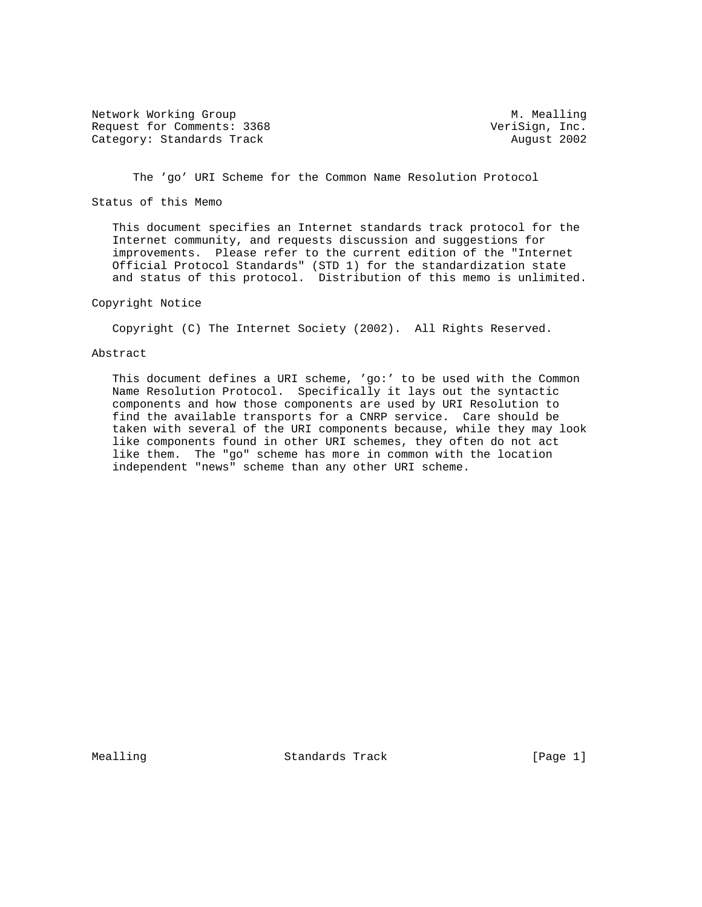Network Working Group Measure Measure M. Mealling Request for Comments: 3368 VeriSign, Inc. Category: Standards Track August 2002

The 'go' URI Scheme for the Common Name Resolution Protocol

Status of this Memo

 This document specifies an Internet standards track protocol for the Internet community, and requests discussion and suggestions for improvements. Please refer to the current edition of the "Internet Official Protocol Standards" (STD 1) for the standardization state and status of this protocol. Distribution of this memo is unlimited.

## Copyright Notice

Copyright (C) The Internet Society (2002). All Rights Reserved.

### Abstract

This document defines a URI scheme, 'go:' to be used with the Common Name Resolution Protocol. Specifically it lays out the syntactic components and how those components are used by URI Resolution to find the available transports for a CNRP service. Care should be taken with several of the URI components because, while they may look like components found in other URI schemes, they often do not act like them. The "go" scheme has more in common with the location independent "news" scheme than any other URI scheme.

Mealling **Standards Track Example 1** [Page 1]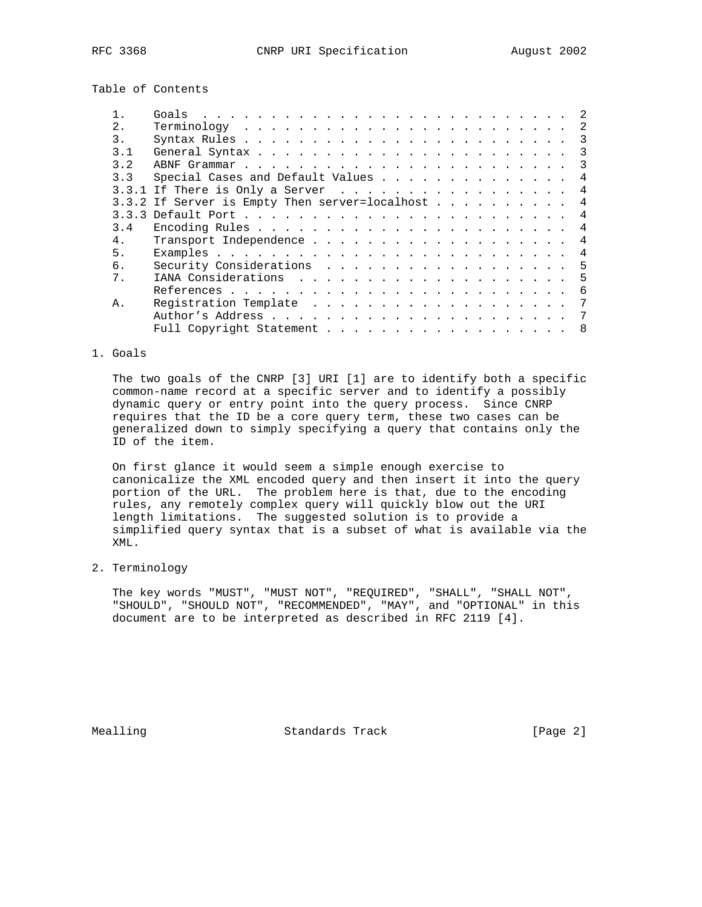Table of Contents

| 2.  | 2                                                   |  |
|-----|-----------------------------------------------------|--|
| 3.  | 3                                                   |  |
| 3.1 | $\overline{3}$                                      |  |
| 3.2 |                                                     |  |
| 3.3 | Special Cases and Default Values<br>4               |  |
|     | 3.3.1 If There is Only a Server 4                   |  |
|     | 3.3.2 If Server is Empty Then server=localhost<br>4 |  |
|     | 4                                                   |  |
| 3.4 | 4                                                   |  |
| 4.  | 4                                                   |  |
| 5.  | 4                                                   |  |
| б.  | -5                                                  |  |
| 7.  |                                                     |  |
|     | - 6                                                 |  |
| Α.  | 7                                                   |  |
|     | -7                                                  |  |
|     | Full Copyright Statement 8                          |  |

## 1. Goals

 The two goals of the CNRP [3] URI [1] are to identify both a specific common-name record at a specific server and to identify a possibly dynamic query or entry point into the query process. Since CNRP requires that the ID be a core query term, these two cases can be generalized down to simply specifying a query that contains only the ID of the item.

 On first glance it would seem a simple enough exercise to canonicalize the XML encoded query and then insert it into the query portion of the URL. The problem here is that, due to the encoding rules, any remotely complex query will quickly blow out the URI length limitations. The suggested solution is to provide a simplified query syntax that is a subset of what is available via the XML.

2. Terminology

 The key words "MUST", "MUST NOT", "REQUIRED", "SHALL", "SHALL NOT", "SHOULD", "SHOULD NOT", "RECOMMENDED", "MAY", and "OPTIONAL" in this document are to be interpreted as described in RFC 2119 [4].

Mealling Standards Track [Page 2]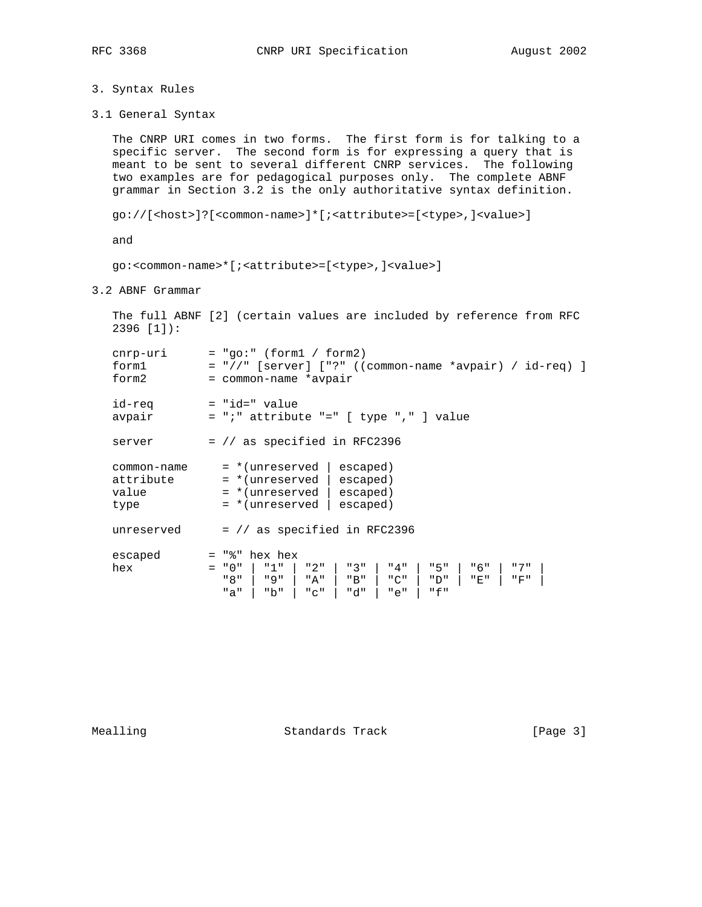```
3. Syntax Rules
```
3.1 General Syntax

 The CNRP URI comes in two forms. The first form is for talking to a specific server. The second form is for expressing a query that is meant to be sent to several different CNRP services. The following two examples are for pedagogical purposes only. The complete ABNF grammar in Section 3.2 is the only authoritative syntax definition.

```
 go://[<host>]?[<common-name>]*[;<attribute>=[<type>,]<value>]
```
and

go:<common-name>\*[;<attribute>=[<type>,]<value>]

3.2 ABNF Grammar

 The full ABNF [2] (certain values are included by reference from RFC 2396 [1]):

| cnrp-uri<br>form1<br>form2                | $= "qo;" (form1 / form2)$<br>$=$ "//" [server] ["?" ((common-name *avpair) / id-req) ]<br>= common-name *avpair                                                                           |
|-------------------------------------------|-------------------------------------------------------------------------------------------------------------------------------------------------------------------------------------------|
| id-req<br>avpair                          | $=$ "id=" value<br>$= "i"$ attribute "=" [ type "," ] value                                                                                                                               |
| server                                    | = // as specified in RFC2396                                                                                                                                                              |
| common-name<br>attribute<br>value<br>type | = *(unreserved<br>escaped)<br>$=$ *(unreserved   escaped)<br>$=$ *(unreserved   escaped)<br>$=$ *(unreserved $\vert$<br>escaped)                                                          |
| unreserved                                | $=$ // as specified in RFC2396                                                                                                                                                            |
| escaped<br>hex                            | $=$ "%" hex hex<br>"1"<br>"3"<br>"5"<br>" 6 "<br>"7"<br>$= "0"$<br>" 2 "<br>"4"<br>" 8 "<br>" 9 "<br>"B"<br>"C"<br>"A"  <br>" D "<br>"E"<br>"F"<br>"f"<br>"b"<br>"d"<br>"a"<br>"e"<br>"C" |

Mealling Standards Track [Page 3]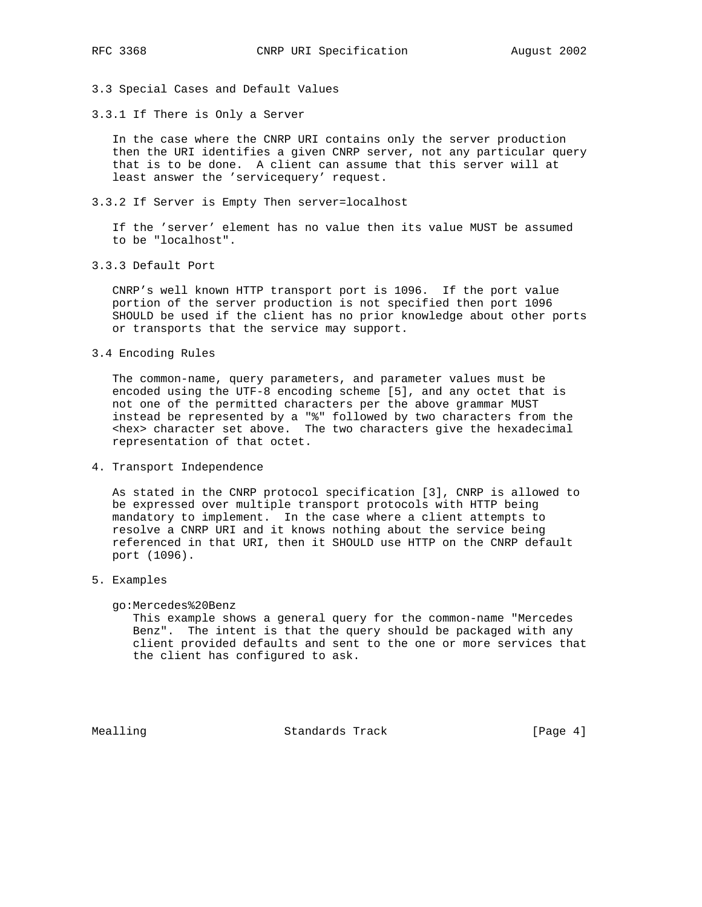3.3 Special Cases and Default Values

3.3.1 If There is Only a Server

 In the case where the CNRP URI contains only the server production then the URI identifies a given CNRP server, not any particular query that is to be done. A client can assume that this server will at least answer the 'servicequery' request.

3.3.2 If Server is Empty Then server=localhost

 If the 'server' element has no value then its value MUST be assumed to be "localhost".

3.3.3 Default Port

 CNRP's well known HTTP transport port is 1096. If the port value portion of the server production is not specified then port 1096 SHOULD be used if the client has no prior knowledge about other ports or transports that the service may support.

3.4 Encoding Rules

 The common-name, query parameters, and parameter values must be encoded using the UTF-8 encoding scheme [5], and any octet that is not one of the permitted characters per the above grammar MUST instead be represented by a "%" followed by two characters from the <hex> character set above. The two characters give the hexadecimal representation of that octet.

4. Transport Independence

 As stated in the CNRP protocol specification [3], CNRP is allowed to be expressed over multiple transport protocols with HTTP being mandatory to implement. In the case where a client attempts to resolve a CNRP URI and it knows nothing about the service being referenced in that URI, then it SHOULD use HTTP on the CNRP default port (1096).

5. Examples

# go:Mercedes%20Benz

 This example shows a general query for the common-name "Mercedes Benz". The intent is that the query should be packaged with any client provided defaults and sent to the one or more services that the client has configured to ask.

Mealling Standards Track [Page 4]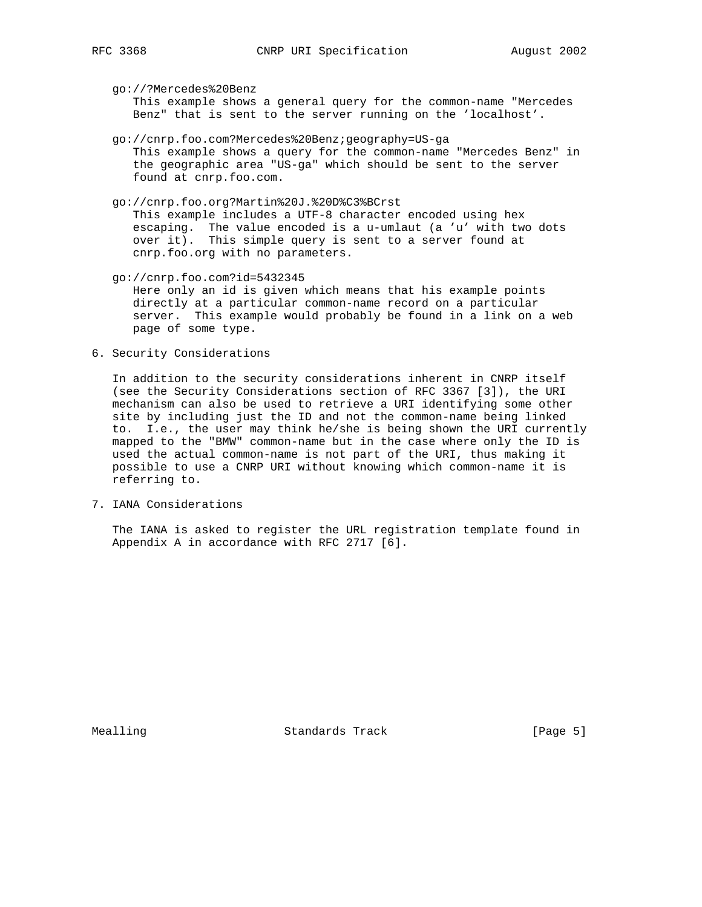go://?Mercedes%20Benz

 This example shows a general query for the common-name "Mercedes Benz" that is sent to the server running on the 'localhost'.

- go://cnrp.foo.com?Mercedes%20Benz;geography=US-ga This example shows a query for the common-name "Mercedes Benz" in the geographic area "US-ga" which should be sent to the server found at cnrp.foo.com.
- go://cnrp.foo.org?Martin%20J.%20D%C3%BCrst This example includes a UTF-8 character encoded using hex escaping. The value encoded is a u-umlaut (a 'u' with two dots over it). This simple query is sent to a server found at cnrp.foo.org with no parameters.
- go://cnrp.foo.com?id=5432345 Here only an id is given which means that his example points directly at a particular common-name record on a particular server. This example would probably be found in a link on a web page of some type.
- 6. Security Considerations

 In addition to the security considerations inherent in CNRP itself (see the Security Considerations section of RFC 3367 [3]), the URI mechanism can also be used to retrieve a URI identifying some other site by including just the ID and not the common-name being linked to. I.e., the user may think he/she is being shown the URI currently mapped to the "BMW" common-name but in the case where only the ID is used the actual common-name is not part of the URI, thus making it possible to use a CNRP URI without knowing which common-name it is referring to.

7. IANA Considerations

 The IANA is asked to register the URL registration template found in Appendix A in accordance with RFC 2717 [6].

Mealling **Standards Track** [Page 5]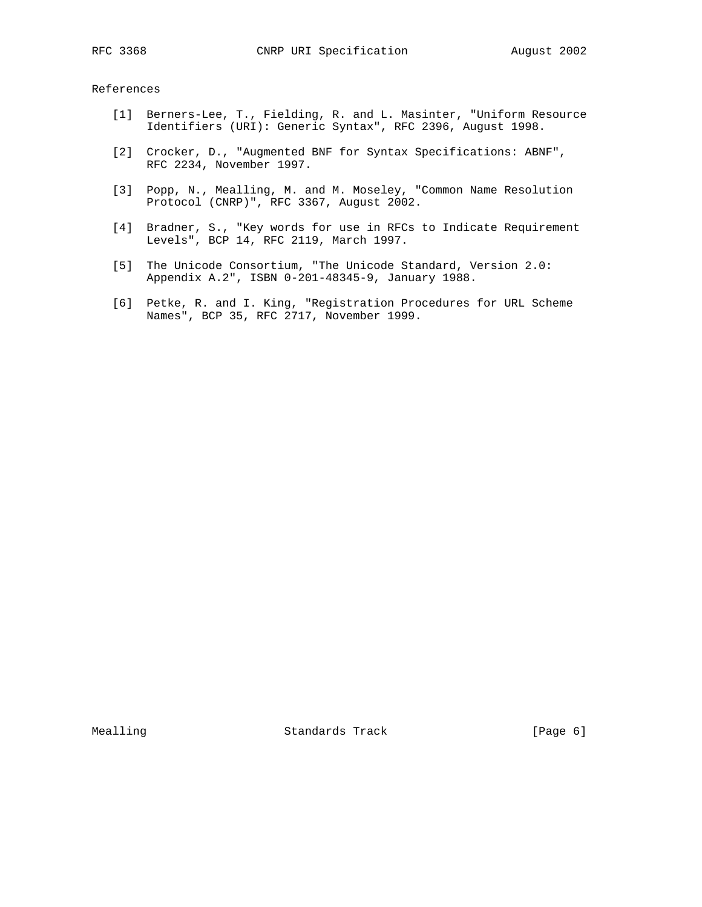References

- [1] Berners-Lee, T., Fielding, R. and L. Masinter, "Uniform Resource Identifiers (URI): Generic Syntax", RFC 2396, August 1998.
- [2] Crocker, D., "Augmented BNF for Syntax Specifications: ABNF", RFC 2234, November 1997.
- [3] Popp, N., Mealling, M. and M. Moseley, "Common Name Resolution Protocol (CNRP)", RFC 3367, August 2002.
- [4] Bradner, S., "Key words for use in RFCs to Indicate Requirement Levels", BCP 14, RFC 2119, March 1997.
- [5] The Unicode Consortium, "The Unicode Standard, Version 2.0: Appendix A.2", ISBN 0-201-48345-9, January 1988.
- [6] Petke, R. and I. King, "Registration Procedures for URL Scheme Names", BCP 35, RFC 2717, November 1999.

Mealling Standards Track [Page 6]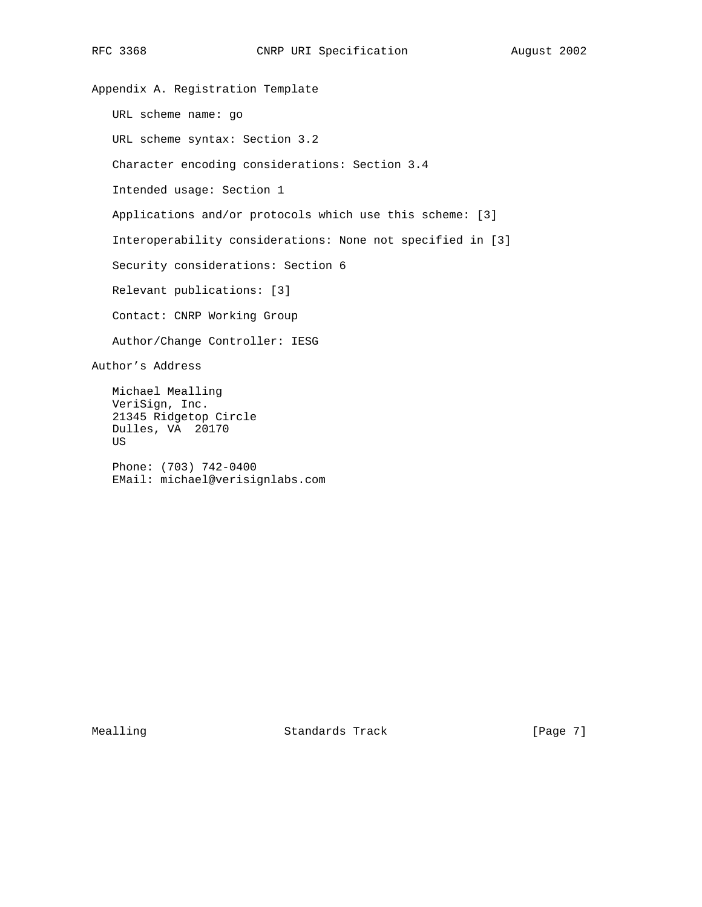Appendix A. Registration Template URL scheme name: go URL scheme syntax: Section 3.2 Character encoding considerations: Section 3.4 Intended usage: Section 1 Applications and/or protocols which use this scheme: [3] Interoperability considerations: None not specified in [3] Security considerations: Section 6 Relevant publications: [3] Contact: CNRP Working Group Author/Change Controller: IESG Author's Address Michael Mealling VeriSign, Inc. 21345 Ridgetop Circle Dulles, VA 20170 US Phone: (703) 742-0400 EMail: michael@verisignlabs.com

Mealling Standards Track [Page 7]